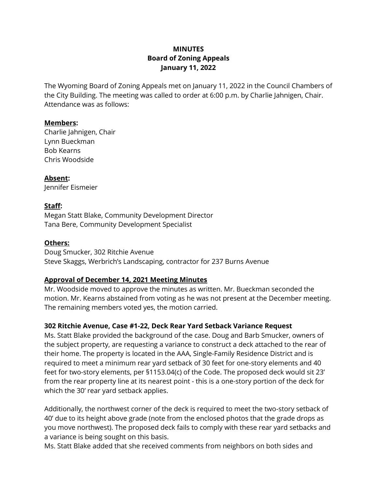## **MINUTES Board of Zoning Appeals January 11, 2022**

The Wyoming Board of Zoning Appeals met on January 11, 2022 in the Council Chambers of the City Building. The meeting was called to order at 6:00 p.m. by Charlie Jahnigen, Chair. Attendance was as follows:

#### **Members:**

Charlie Jahnigen, Chair Lynn Bueckman Bob Kearns Chris Woodside

**Absent:**  Jennifer Eismeier

### **Staff:**

Megan Statt Blake, Community Development Director Tana Bere, Community Development Specialist

### **Others:**

Doug Smucker, 302 Ritchie Avenue Steve Skaggs, Werbrich's Landscaping, contractor for 237 Burns Avenue

#### **Approval of December 14, 2021 Meeting Minutes**

Mr. Woodside moved to approve the minutes as written. Mr. Bueckman seconded the motion. Mr. Kearns abstained from voting as he was not present at the December meeting. The remaining members voted yes, the motion carried.

## **302 Ritchie Avenue, Case #1-22, Deck Rear Yard Setback Variance Request**

Ms. Statt Blake provided the background of the case. Doug and Barb Smucker, owners of the subject property, are requesting a variance to construct a deck attached to the rear of their home. The property is located in the AAA, Single-Family Residence District and is required to meet a minimum rear yard setback of 30 feet for one-story elements and 40 feet for two-story elements, per §1153.04(c) of the Code. The proposed deck would sit 23' from the rear property line at its nearest point - this is a one-story portion of the deck for which the 30' rear yard setback applies.

Additionally, the northwest corner of the deck is required to meet the two-story setback of 40' due to its height above grade (note from the enclosed photos that the grade drops as you move northwest). The proposed deck fails to comply with these rear yard setbacks and a variance is being sought on this basis.

Ms. Statt Blake added that she received comments from neighbors on both sides and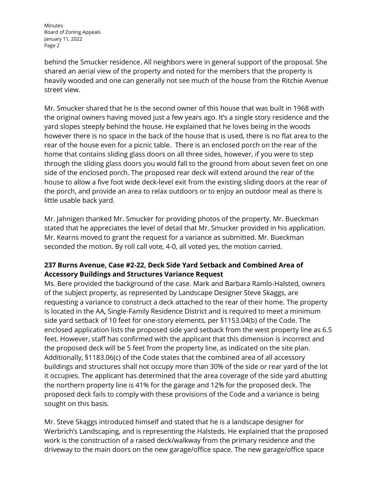Minutes Board of Zoning Appeals January 11, 2022 Page 2

behind the Smucker residence. All neighbors were in general support of the proposal. She shared an aerial view of the property and noted for the members that the property is heavily wooded and one can generally not see much of the house from the Ritchie Avenue street view.

Mr. Smucker shared that he is the second owner of this house that was built in 1968 with the original owners having moved just a few years ago. It's a single story residence and the yard slopes steeply behind the house. He explained that he loves being in the woods however there is no space in the back of the house that is used, there is no flat area to the rear of the house even for a picnic table. There is an enclosed porch on the rear of the home that contains sliding glass doors on all three sides, however, if you were to step through the sliding glass doors you would fall to the ground from about seven feet on one side of the enclosed porch. The proposed rear deck will extend around the rear of the house to allow a five foot wide deck-level exit from the existing sliding doors at the rear of the porch, and provide an area to relax outdoors or to enjoy an outdoor meal as there is little usable back yard.

Mr. Jahnigen thanked Mr. Smucker for providing photos of the property. Mr. Bueckman stated that he appreciates the level of detail that Mr. Smucker provided in his application. Mr. Kearns moved to grant the request for a variance as submitted. Mr. Bueckman seconded the motion. By roll call vote, 4-0, all voted yes, the motion carried.

# **237 Burns Avenue, Case #2-22, Deck Side Yard Setback and Combined Area of Accessory Buildings and Structures Variance Request**

Ms. Bere provided the background of the case. Mark and Barbara Ramlo-Halsted, owners of the subject property, as represented by Landscape Designer Steve Skaggs, are requesting a variance to construct a deck attached to the rear of their home. The property is located in the AA, Single-Family Residence District and is required to meet a minimum side yard setback of 10 feet for one-story elements, per §1153.04(b) of the Code. The enclosed application lists the proposed side yard setback from the west property line as 6.5 feet. However, staff has confirmed with the applicant that this dimension is incorrect and the proposed deck will be 5 feet from the property line, as indicated on the site plan. Additionally, §1183.06(c) of the Code states that the combined area of all accessory buildings and structures shall not occupy more than 30% of the side or rear yard of the lot it occupies. The applicant has determined that the area coverage of the side yard abutting the northern property line is 41% for the garage and 12% for the proposed deck. The proposed deck fails to comply with these provisions of the Code and a variance is being sought on this basis.

Mr. Steve Skaggs introduced himself and stated that he is a landscape designer for Werbrich's Landscaping, and is representing the Halsteds. He explained that the proposed work is the construction of a raised deck/walkway from the primary residence and the driveway to the main doors on the new garage/office space. The new garage/office space